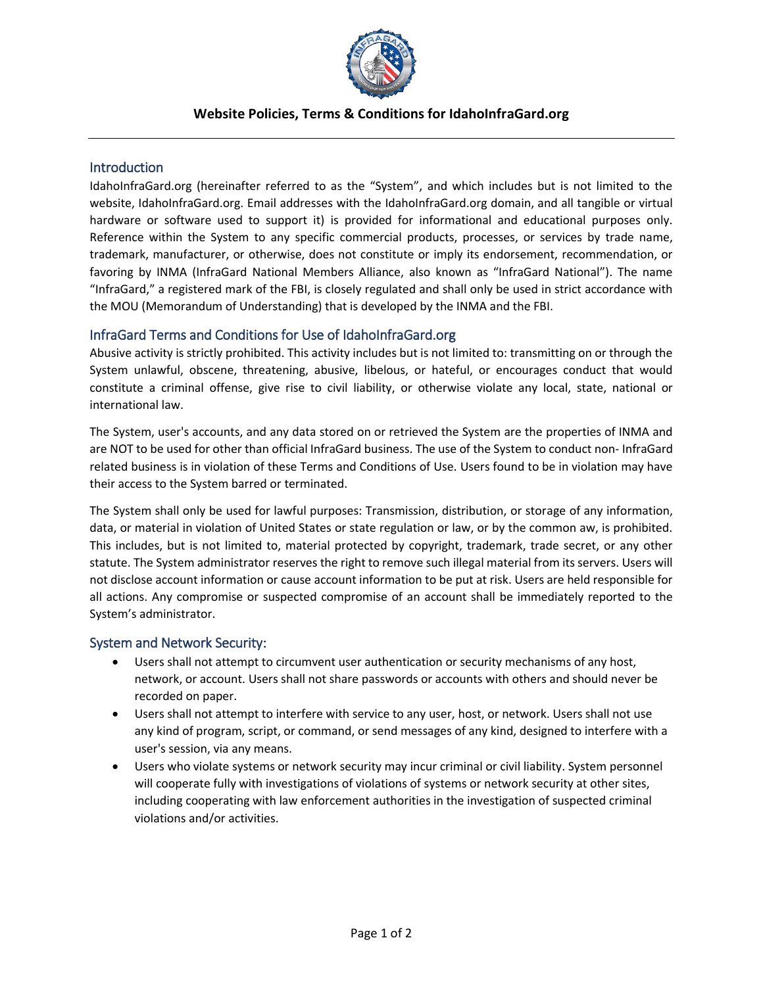

## **Website Policies, Terms & Conditions for IdahoInfraGard.org**

### **Introduction**

IdahoInfraGard.org (hereinafter referred to as the "System", and which includes but is not limited to the website, IdahoInfraGard.org. Email addresses with the IdahoInfraGard.org domain, and all tangible or virtual hardware or software used to support it) is provided for informational and educational purposes only. Reference within the System to any specific commercial products, processes, or services by trade name, trademark, manufacturer, or otherwise, does not constitute or imply its endorsement, recommendation, or favoring by INMA (InfraGard National Members Alliance, also known as "InfraGard National"). The name "InfraGard," a registered mark of the FBI, is closely regulated and shall only be used in strict accordance with the MOU (Memorandum of Understanding) that is developed by the INMA and the FBI.

## InfraGard Terms and Conditions for Use of IdahoInfraGard.org

Abusive activity is strictly prohibited. This activity includes but is not limited to: transmitting on or through the System unlawful, obscene, threatening, abusive, libelous, or hateful, or encourages conduct that would constitute a criminal offense, give rise to civil liability, or otherwise violate any local, state, national or international law.

The System, user's accounts, and any data stored on or retrieved the System are the properties of INMA and are NOT to be used for other than official InfraGard business. The use of the System to conduct non- InfraGard related business is in violation of these Terms and Conditions of Use. Users found to be in violation may have their access to the System barred or terminated.

The System shall only be used for lawful purposes: Transmission, distribution, or storage of any information, data, or material in violation of United States or state regulation or law, or by the common aw, is prohibited. This includes, but is not limited to, material protected by copyright, trademark, trade secret, or any other statute. The System administrator reserves the right to remove such illegal material from its servers. Users will not disclose account information or cause account information to be put at risk. Users are held responsible for all actions. Any compromise or suspected compromise of an account shall be immediately reported to the System's administrator.

### System and Network Security:

- Users shall not attempt to circumvent user authentication or security mechanisms of any host, network, or account. Users shall not share passwords or accounts with others and should never be recorded on paper.
- Users shall not attempt to interfere with service to any user, host, or network. Users shall not use any kind of program, script, or command, or send messages of any kind, designed to interfere with a user's session, via any means.
- Users who violate systems or network security may incur criminal or civil liability. System personnel will cooperate fully with investigations of violations of systems or network security at other sites, including cooperating with law enforcement authorities in the investigation of suspected criminal violations and/or activities.